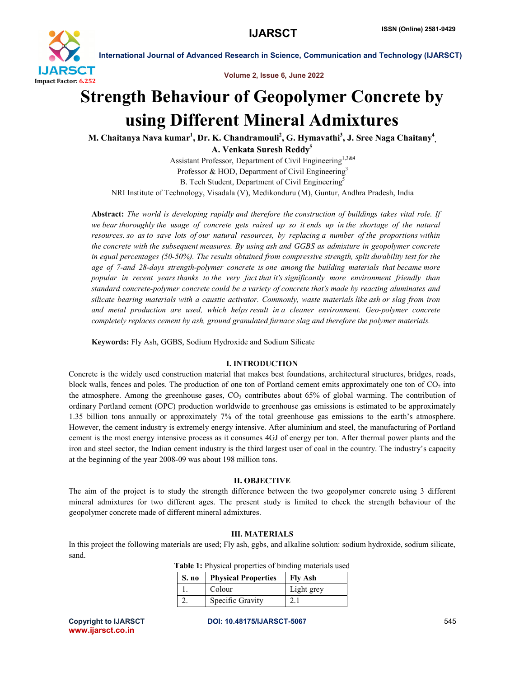

Volume 2, Issue 6, June 2022

# Strength Behaviour of Geopolymer Concrete by using Different Mineral Admixtures

M. Chaitanya Nava kumar $^1$ , Dr. K. Chandramouli $^2$ , G. Hymavathi $^3$ , J. Sree Naga Chaitany $^4_{\cdot, \cdot}$ A. Venkata Suresh Reddy<sup>5</sup>

Assistant Professor, Department of Civil Engineering<sup>1,3&4</sup> Professor & HOD, Department of Civil Engineering<sup>3</sup> B. Tech Student, Department of Civil Engineering<sup>5</sup> NRI Institute of Technology, Visadala (V), Medikonduru (M), Guntur, Andhra Pradesh, India

Abstract: *The world is developing rapidly and therefore the construction of buildings takes vital role. If we bear thoroughly the usage of concrete gets raised up so it ends up in the shortage of the natural resources. so as to save lots of our natural resources, by replacing a number of the proportions within the concrete with the subsequent measures. By using ash and GGBS as admixture in geopolymer concrete in equal percentages (50-50%). The results obtained from compressive strength, split durability test for the age of 7-and 28-days strength-polymer concrete is one among the building materials that became more popular in recent years thanks to the very fact that it's significantly more environment friendly than standard concrete-polymer concrete could be a variety of concrete that's made by reacting aluminates and silicate bearing materials with a caustic activator. Commonly, waste materials like ash or slag from iron and metal production are used, which helps result in a cleaner environment. Geo-polymer concrete completely replaces cement by ash, ground granulated furnace slag and therefore the polymer materials.*

Keywords: Fly Ash, GGBS, Sodium Hydroxide and Sodium Silicate

### I. INTRODUCTION

Concrete is the widely used construction material that makes best foundations, architectural structures, bridges, roads, block walls, fences and poles. The production of one ton of Portland cement emits approximately one ton of  $CO<sub>2</sub>$  into the atmosphere. Among the greenhouse gases,  $CO<sub>2</sub>$  contributes about 65% of global warming. The contribution of ordinary Portland cement (OPC) production worldwide to greenhouse gas emissions is estimated to be approximately 1.35 billion tons annually or approximately 7% of the total greenhouse gas emissions to the earth's atmosphere. However, the cement industry is extremely energy intensive. After aluminium and steel, the manufacturing of Portland cement is the most energy intensive process as it consumes 4GJ of energy per ton. After thermal power plants and the iron and steel sector, the Indian cement industry is the third largest user of coal in the country. The industry's capacity at the beginning of the year 2008-09 was about 198 million tons.

# II. OBJECTIVE

The aim of the project is to study the strength difference between the two geopolymer concrete using 3 different mineral admixtures for two different ages. The present study is limited to check the strength behaviour of the geopolymer concrete made of different mineral admixtures.

# III. MATERIALS

In this project the following materials are used; Fly ash, ggbs, and alkaline solution: sodium hydroxide, sodium silicate, sand.

|  | S. no Physical Properties   Fly Ash |            |  |
|--|-------------------------------------|------------|--|
|  | Colour                              | Light grey |  |

Table 1: Physical properties of binding materials used

www.ijarsct.co.in

Copyright to IJARSCT DOI: 10.48175/IJARSCT-5067 **545**

2. Specific Gravity 2.1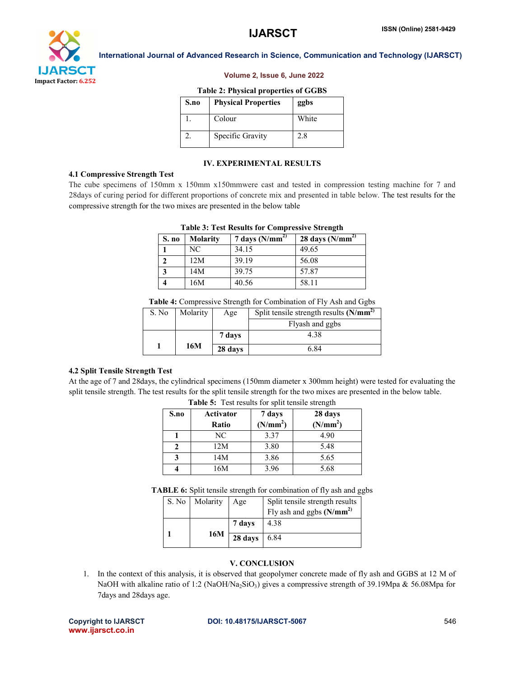

#### Volume 2, Issue 6, June 2022

#### Table 2: Physical properties of GGBS

| S.no | <b>Physical Properties</b> | ggbs  |
|------|----------------------------|-------|
|      | Colour                     | White |
|      | Specific Gravity           | 2.8   |

#### IV. EXPERIMENTAL RESULTS

#### 4.1 Compressive Strength Test

The cube specimens of 150mm x 150mm x150mmwere cast and tested in compression testing machine for 7 and 28days of curing period for different proportions of concrete mix and presented in table below. The test results for the compressive strength for the two mixes are presented in the below table

| S. no | <b>Molarity</b> | 7 days $(N/mm^2)$ | 28 days $(N/mm^2)$ |
|-------|-----------------|-------------------|--------------------|
|       | NC.             | 34.15             | 49.65              |
|       | 12M             | 39.19             | 56.08              |
|       | 14M             | 39.75             | 57.87              |
|       | 16M             | 40.56             | 58.11              |

# Table 3: Test Results for Compressive Strength

Table 4: Compressive Strength for Combination of Fly Ash and Ggbs

| S. No | Molarity | Age     | Split tensile strength results $(N/mm^2)$ |
|-------|----------|---------|-------------------------------------------|
|       |          |         | Flyash and ggbs                           |
|       |          | 7 days  | 4.38                                      |
|       | 16M      | 28 days | 6.84                                      |

# 4.2 Split Tensile Strength Test

At the age of 7 and 28days, the cylindrical specimens (150mm diameter x 300mm height) were tested for evaluating the split tensile strength. The test results for the split tensile strength for the two mixes are presented in the below table.

| S.no | Activator<br>Ratio | 7 days<br>(N/mm <sup>2</sup> ) | 28 days<br>(N/mm <sup>2</sup> ) |
|------|--------------------|--------------------------------|---------------------------------|
|      | NC                 | 3.37                           | 4.90                            |
|      | 12M                | 3.80                           | 5.48                            |
| 3    | 14M                | 3.86                           | 5.65                            |
|      | 16M                | 3.96                           | 5.68                            |

Table 5: Test results for split tensile strength

TABLE 6: Split tensile strength for combination of fly ash and ggbs

| S. No | Molarity | Age     | Split tensile strength results |
|-------|----------|---------|--------------------------------|
|       |          |         | Fly ash and ggbs $(N/mm^2)$    |
|       |          | 7 days  | 4.38                           |
|       | 16M      | 28 days | 6.84                           |

### V. CONCLUSION

1. In the context of this analysis, it is observed that geopolymer concrete made of fly ash and GGBS at 12 M of NaOH with alkaline ratio of 1:2 (NaOH/Na<sub>2</sub>SiO<sub>3</sub>) gives a compressive strength of 39.19Mpa & 56.08Mpa for 7days and 28days age.

www.ijarsct.co.in

#### Copyright to IJARSCT DOI: 10.48175/IJARSCT-5067 **546**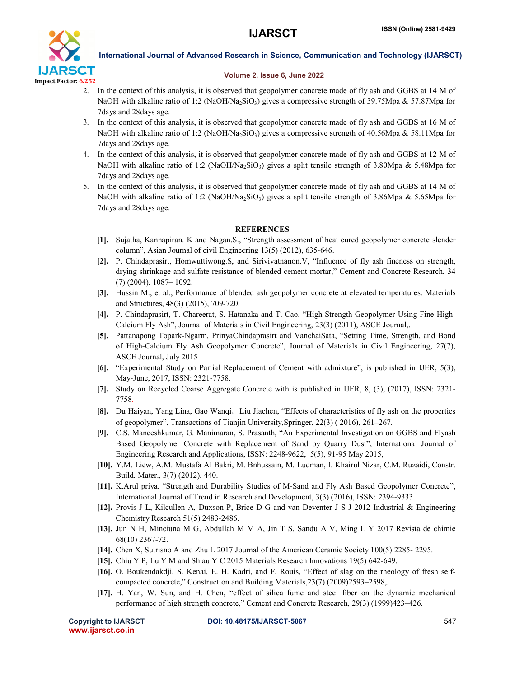

## Volume 2, Issue 6, June 2022

- 2. In the context of this analysis, it is observed that geopolymer concrete made of fly ash and GGBS at 14 M of NaOH with alkaline ratio of 1:2 (NaOH/Na<sub>2</sub>SiO<sub>3</sub>) gives a compressive strength of 39.75Mpa & 57.87Mpa for 7days and 28days age.
- 3. In the context of this analysis, it is observed that geopolymer concrete made of fly ash and GGBS at 16 M of NaOH with alkaline ratio of 1:2 (NaOH/Na<sub>2</sub>SiO<sub>3</sub>) gives a compressive strength of 40.56Mpa & 58.11Mpa for 7days and 28days age.
- 4. In the context of this analysis, it is observed that geopolymer concrete made of fly ash and GGBS at 12 M of NaOH with alkaline ratio of 1:2 (NaOH/Na<sub>2</sub>SiO<sub>3</sub>) gives a split tensile strength of 3.80Mpa & 5.48Mpa for 7days and 28days age.
- 5. In the context of this analysis, it is observed that geopolymer concrete made of fly ash and GGBS at 14 M of NaOH with alkaline ratio of 1:2 (NaOH/Na<sub>2</sub>SiO<sub>3</sub>) gives a split tensile strength of 3.86Mpa & 5.65Mpa for 7days and 28days age.

# **REFERENCES**

- [1]. Sujatha, Kannapiran. K and Nagan.S., "Strength assessment of heat cured geopolymer concrete slender column", Asian Journal of civil Engineering 13(5) (2012), 635-646.
- [2]. P. Chindaprasirt, Homwuttiwong.S, and Sirivivatnanon.V, "Influence of fly ash fineness on strength, drying shrinkage and sulfate resistance of blended cement mortar," Cement and Concrete Research, 34 (7) (2004), 1087– 1092.
- [3]. Hussin M., et al., Performance of blended ash geopolymer concrete at elevated temperatures. Materials and Structures, 48(3) (2015), 709-720.
- [4]. P. Chindaprasirt, T. Chareerat, S. Hatanaka and T. Cao, "High Strength Geopolymer Using Fine High-Calcium Fly Ash", Journal of Materials in Civil Engineering, 23(3) (2011), ASCE Journal,.
- [5]. Pattanapong Topark-Ngarm, PrinyaChindaprasirt and VanchaiSata, "Setting Time, Strength, and Bond of High-Calcium Fly Ash Geopolymer Concrete", Journal of Materials in Civil Engineering, 27(7), ASCE Journal, July 2015
- [6]. "Experimental Study on Partial Replacement of Cement with admixture", is published in IJER, 5(3), May-June, 2017, ISSN: 2321-7758.
- [7]. Study on Recycled Coarse Aggregate Concrete with is published in IJER, 8, (3), (2017), ISSN: 2321- 7758.
- [8]. Du Haiyan, Yang Lina, Gao Wanqi, Liu Jiachen, "Effects of characteristics of fly ash on the properties of geopolymer", Transactions of Tianjin University,Springer, 22(3) ( 2016), 261–267.
- [9]. C.S. Maneeshkumar, G. Manimaran, S. Prasanth, "An Experimental Investigation on GGBS and Flyash Based Geopolymer Concrete with Replacement of Sand by Quarry Dust", International Journal of Engineering Research and Applications, ISSN: 2248-9622, 5(5), 91-95 May 2015,
- [10]. Y.M. Liew, A.M. Mustafa Al Bakri, M. Bnhussain, M. Luqman, I. Khairul Nizar, C.M. Ruzaidi, Constr. Build. Mater., 3(7) (2012), 440.
- [11]. K.Arul priya, "Strength and Durability Studies of M-Sand and Fly Ash Based Geopolymer Concrete", International Journal of Trend in Research and Development, 3(3) (2016), ISSN: 2394-9333.
- [12]. Provis J L, Kilcullen A, Duxson P, Brice D G and van Deventer J S J 2012 Industrial & Engineering Chemistry Research 51(5) 2483-2486.
- [13]. Jun N H, Minciuna M G, Abdullah M M A, Jin T S, Sandu A V, Ming L Y 2017 Revista de chimie 68(10) 2367-72.
- [14]. Chen X, Sutrisno A and Zhu L 2017 Journal of the American Ceramic Society 100(5) 2285- 2295.
- [15]. Chiu Y P, Lu Y M and Shiau Y C 2015 Materials Research Innovations 19(5) 642-649.
- [16]. O. Boukendakdji, S. Kenai, E. H. Kadri, and F. Rouis, "Effect of slag on the rheology of fresh selfcompacted concrete," Construction and Building Materials,23(7) (2009)2593–2598,.
- [17]. H. Yan, W. Sun, and H. Chen, "effect of silica fume and steel fiber on the dynamic mechanical performance of high strength concrete," Cement and Concrete Research, 29(3) (1999)423–426.